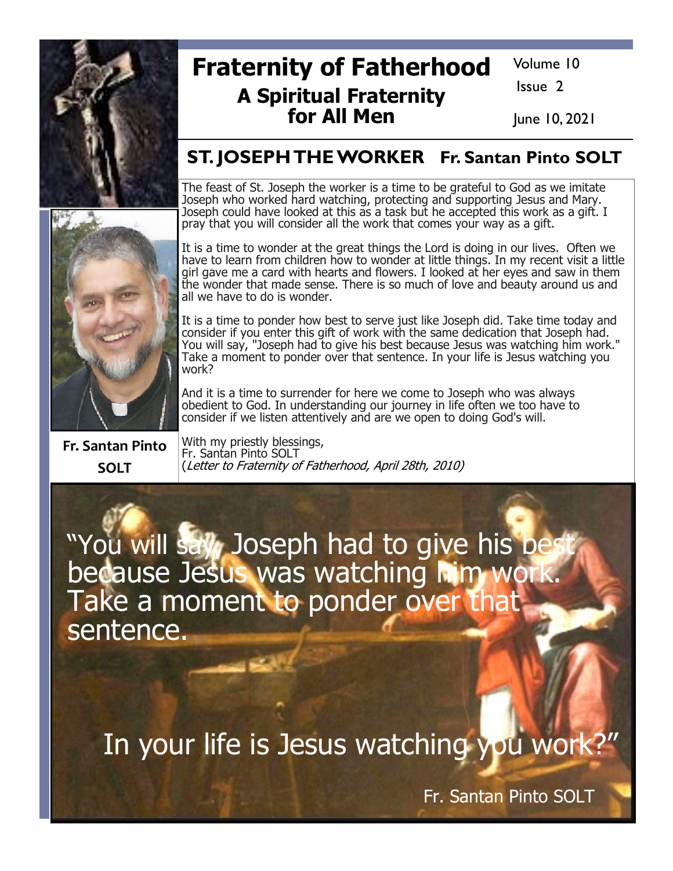

# **Fraternity of Fatherhood A Spiritual Fraternity** for All Men

Volume 10

Issue 2

June 10, 2021

### **ST. JOSEPH THE WORKER Fr. Santan Pinto SOLT**

The feast of St. Joseph the worker is a time to be grateful to God as we imitate Joseph who worked hard watching, protecting and supporting Jesus and Mary. Joseph could have looked at this as a task but he accepted this work as a gift. I pray that you will consider all the work that comes your way as a gift.

It is a time to wonder at the great things the Lord is doing in our lives. Often we have to learn from children how to wonder at little things. In my recent visit a little<br>girl gave me a card with hearts and flowers. I looked at her eyes and saw in them<br>the wonder that made sense. There is so much of love all we have to do is wonder.

It is a time to ponder how best to serve just like Joseph did. Take time today and consider if you enter this gift of work with the same dedication that Joseph had.<br>You will say, "Joseph had to give his best because Jesus was watching him work." Take a moment to ponder over that sentence. In your life is Jesus watching you work?

And it is a time to surrender for here we come to Joseph who was always obedient to God. In understanding our journey in life often we too have to consider if we listen attentively and are we open to doing God's will.

**Fr. Santan Pinto SOLT** 

With my priestly blessings, Fr. Santan Pinto SOLT (Letter to Fraternity of Fatherhood, April 28th, 2010)

"You will say, Joseph had to give his best<br>because Jesus was watching him work. Take a moment to ponder over that sentence.

In your life is Jesus watching you work?"

Fr. Santan Pinto SOLT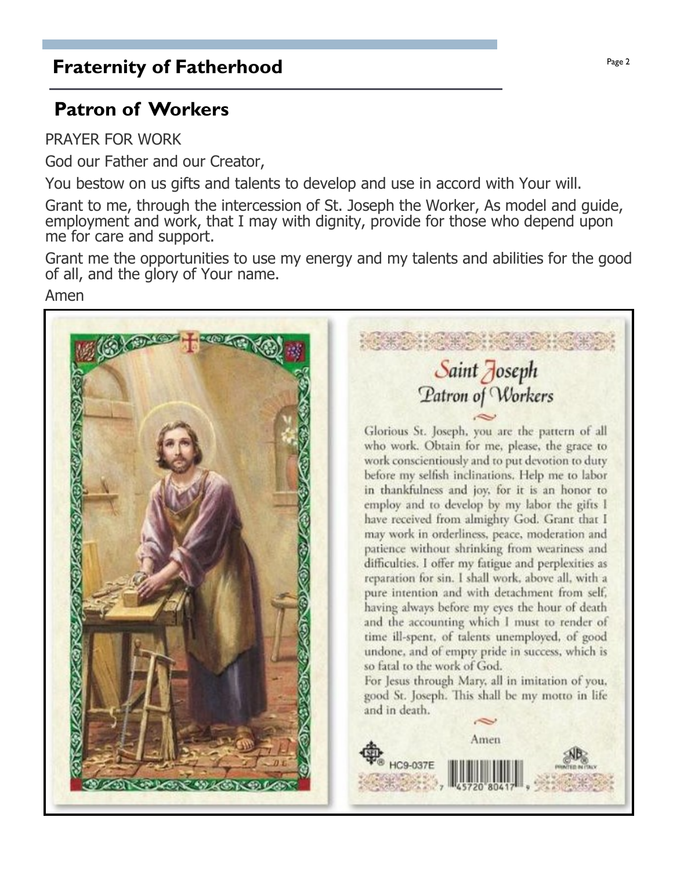## **Fraternity of Fatherhood Page 2 Page 2**

## Patron of Workers

PRAYER FOR WORK

God our Father and our Creator,

You bestow on us gifts and talents to develop and use in accord with Your will.

Grant to me, through the intercession of St. Joseph the Worker, As model and quide, employment and work, that I may with dignity, provide for those who depend upon me for care and support.

Grant me the opportunities to use my energy and my talents and abilities for the good of all, and the glory of Your name.

Amen



Patron of Workers Glorious St. Joseph, you are the pattern of all who work. Obtain for me, please, the grace to work conscientiously and to put devotion to duty before my selfish inclinations. Help me to labor in thankfulness and joy, for it is an honor to employ and to develop by my labor the gifts I have received from almighty God. Grant that I may work in orderliness, peace, moderation and

patience without shrinking from weariness and difficulties. I offer my fatigue and perplexities as reparation for sin. I shall work, above all, with a pure intention and with detachment from self, having always before my eyes the hour of death and the accounting which I must to render of time ill-spent, of talents unemployed, of good undone, and of empty pride in success, which is

For Jesus through Mary, all in imitation of you, good St. Joseph. This shall be my motto in life

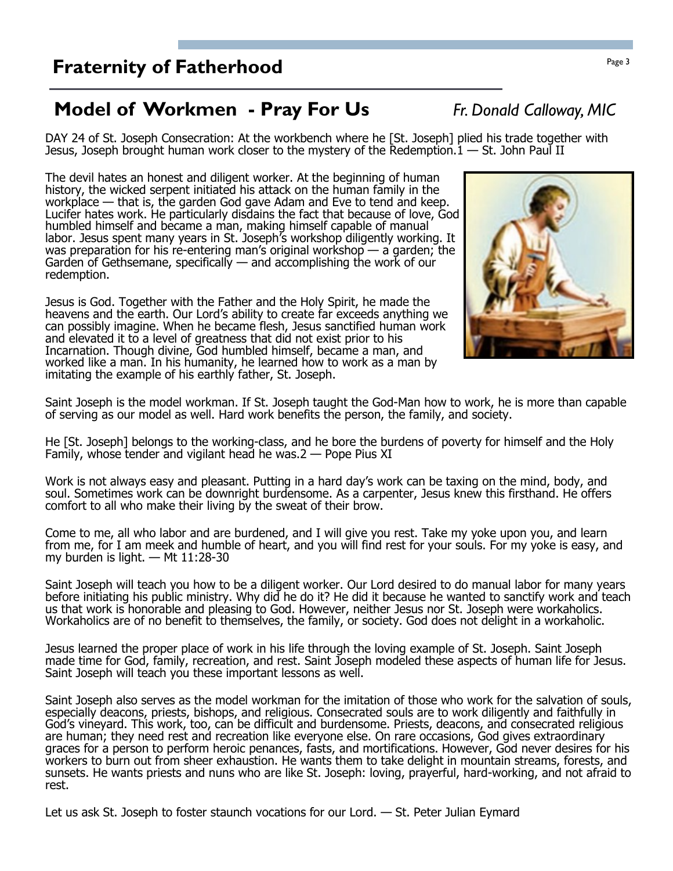### **Fraternity of Fatherhood Page 3**

### Model of Workmen - Pray For Us Fr. Donald Calloway, MIC

DAY 24 of St. Joseph Consecration: At the workbench where he [St. Joseph] plied his trade together with Jesus, Joseph brought human work closer to the mystery of the Redemption.  $1 - St$ . John Paul II

The devil hates an honest and diligent worker. At the beginning of human history, the wicked serpent initiated his attack on the human family in the workplace  $-$  that is, the garden God gave Adam and Eve to tend and keep. Lucifer hates work. He particularly disdains the fact that because of love, God humbled himself and became a man, making himself capable of manual labor. Jesus spent many years in St. Joseph's workshop diligently working. It was preparation for his re-entering man's original workshop  $-$  a garden; the Garden of Gethsemane, specifically  $-$  and accomplishing the work of our redemption.

Jesus is God. Together with the Father and the Holy Spirit, he made the heavens and the earth. Our Lord's ability to create far exceeds anything we can possibly imagine. When he became flesh, Jesus sanctified human work and elevated it to a level of greatness that did not exist prior to his Incarnation. Though divine, God humbled himself, became a man, and worked like a man. In his humanity, he learned how to work as a man by imitating the example of his earthly father, St. Joseph.

Saint Joseph is the model workman. If St. Joseph taught the God-Man how to work, he is more than capable of serving as our model as well. Hard work benefits the person, the family, and society.

He [St. Joseph] belongs to the working-class, and he bore the burdens of poverty for himself and the Holy Family, whose tender and vigilant head he was  $2$  – Pope Pius XI

Work is not always easy and pleasant. Putting in a hard day's work can be taxing on the mind, body, and soul. Sometimes work can be downright burdensome. As a carpenter, Jesus knew this firsthand. He offers comfort to all who make their living by the sweat of their brow.

Come to me, all who labor and are burdened, and I will give you rest. Take my yoke upon you, and learn from me, for I am meek and humble of heart, and you will find rest for your souls. For my yoke is easy, and my burden is light.  $-$  Mt 11:28-30

Saint Joseph will teach you how to be a diligent worker. Our Lord desired to do manual labor for many years before initiating his public ministry. Why did he do it? He did it because he wanted to sanctify work and teach us that work is honorable and pleasing to God. However, neither Jesus nor St. Joseph were workaholics. Workaholics are of no benefit to themselves, the family, or society. God does not delight in a workaholic.

Jesus learned the proper place of work in his life through the loving example of St. Joseph. Saint Joseph made time for God, family, recreation, and rest. Saint Joseph modeled these aspects of human life for Jesus. Saint Joseph will teach you these important lessons as well.

Saint Joseph also serves as the model workman for the imitation of those who work for the salvation of souls, especially deacons, priests, bishops, and religious. Consecrated souls are to work diligently and faithfully in God's vineyard. This work, too, can be difficult and burdensome. Priests, deacons, and consecrated religious are human; they need rest and recreation like everyone else. On rare occasions, God gives extraordinary graces for a person to perform heroic penances, fasts, and mortifications. However, God never desires for his workers to burn out from sheer exhaustion. He wants them to take delight in mountain streams, forests, and sunsets. He wants priests and nuns who are like St. Joseph: loving, prayerful, hard-working, and not afraid to rest.

Let us ask St. Joseph to foster staunch vocations for our Lord.  $-$  St. Peter Julian Eymard

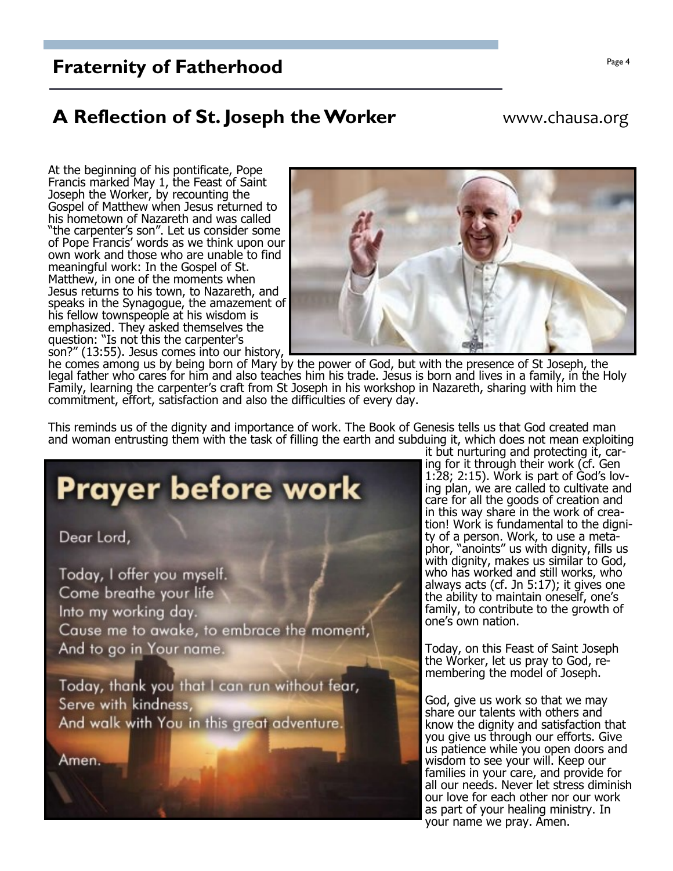### **Fraternity of Fatherhood**

### A Reflection of St. Joseph the Worker

#### www.chausa.org

At the beginning of his pontificate, Pope Francis marked May 1, the Feast of Saint Joseph the Worker, by recounting the Gospel of Matthew when Jesus returned to his hometown of Nazareth and was called "the carpenter's son". Let us consider some of Pope Francis' words as we think upon our<br>own work and those who are unable to find meaningful work: In the Gospel of St. Matthew, in one of the moments when Jesus returns to his town, to Nazareth, and speaks in the Synagogue, the amazement of his fellow townspeople at his wisdom is emphasized. They asked themselves the question: "Is not this the carpenter's son?" (13:55). Jesus comes into our history,



he comes among us by being born of Mary by the power of God, but with the presence of St Joseph, the legal father who cares for him and also teaches him his trade. Jesus is born and lives in a family, in the Holy Family, learning the carpenter's craft from St Joseph in his workshop in Nazareth, sharing with him the commitment, effort, satisfaction and also the difficulties of every day.

This reminds us of the dignity and importance of work. The Book of Genesis tells us that God created man and woman entrusting them with the task of filling the earth and subduing it, which does not mean exploiting



it but nurturing and protecting it, caring for it through their work (cf. Gen 1:28; 2:15). Work is part of God's loving plan, we are called to cultivate and care for all the goods of creation and in this way share in the work of creation! Work is fundamental to the dignity of a person. Work, to use a metaphor, "anoints" us with dignity, fills us with dignity, makes us similar to God, who has worked and still works, who always acts (cf. Jn 5:17); it gives one the ability to maintain oneself, one's family, to contribute to the growth of one's own nation.

Today, on this Feast of Saint Joseph the Worker, let us pray to God, remembering the model of Joseph.

God, give us work so that we may share our talents with others and know the dignity and satisfaction that you give us through our efforts. Give us patience while you open doors and wisdom to see your will. Keep our families in your care, and provide for all our needs. Never let stress diminish our love for each other nor our work as part of your healing ministry. In your name we pray. Amen.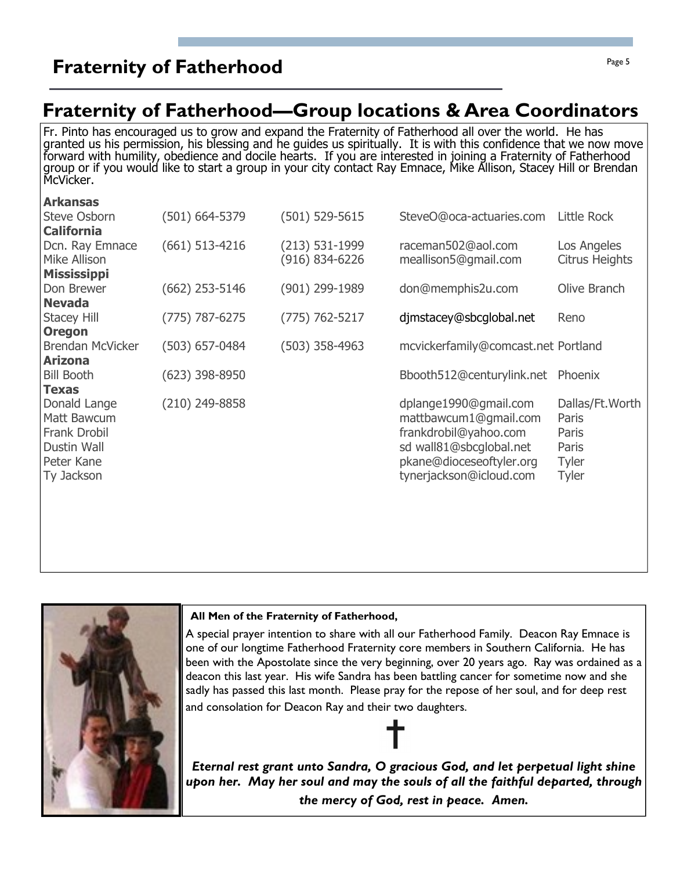### **Fraternity of Fatherhood Fraternity of Fatherhood**

### Fraternity of Fatherhood—Group locations & Area Coordinators

Fr. Pinto has encouraged us to grow and expand the Fraternity of Fatherhood all over the world. He has granted us his permission, his blessing and he guides us spiritually. It is with this confidence that we now move  $\vert$ forward with humility, obedience and docile hearts. If you are interested in joining a Fraternity of Fatherhood group or if you would like to start a group in your city contact Ray Emnace, Mike Allison, Stacey Hill or Brendan McVicker.

| <b>Arkansas</b>                          |                    |                    |                                     |                       |
|------------------------------------------|--------------------|--------------------|-------------------------------------|-----------------------|
| <b>Steve Osborn</b>                      | $(501) 664 - 5379$ | (501) 529-5615     | SteveO@oca-actuaries.com            | Little Rock           |
| <b>California</b>                        |                    |                    |                                     |                       |
| Dcn. Ray Emnace                          | $(661)$ 513-4216   | (213) 531-1999     | raceman502@aol.com                  | Los Angeles           |
| Mike Allison                             |                    | (916) 834-6226     | meallison5@gmail.com                | <b>Citrus Heights</b> |
| <b>Mississippi</b>                       |                    |                    |                                     |                       |
| Don Brewer                               | $(662)$ 253-5146   | (901) 299-1989     | don@memphis2u.com                   | Olive Branch          |
| <b>Nevada</b>                            |                    |                    |                                     |                       |
| <b>Stacey Hill</b>                       | $(775) 787 - 6275$ | $(775) 762 - 5217$ | djmstacey@sbcglobal.net             | Reno                  |
| <b>Oregon</b><br><b>Brendan McVicker</b> | $(503)$ 657-0484   | $(503)$ 358-4963   | mcvickerfamily@comcast.net Portland |                       |
| <b>Arizona</b>                           |                    |                    |                                     |                       |
| <b>Bill Booth</b>                        | $(623)$ 398-8950   |                    | Bbooth512@centurylink.net Phoenix   |                       |
| <b>Texas</b>                             |                    |                    |                                     |                       |
| Donald Lange                             | (210) 249-8858     |                    | dplange1990@gmail.com               | Dallas/Ft. Worth      |
| Matt Bawcum                              |                    |                    | mattbawcum1@gmail.com               | Paris                 |
| <b>Frank Drobil</b>                      |                    |                    | frankdrobil@yahoo.com               | Paris                 |
| <b>Dustin Wall</b>                       |                    |                    | sd wall81@sbcglobal.net             | Paris                 |
| Peter Kane                               |                    |                    | pkane@dioceseoftyler.org            | <b>Tyler</b>          |
| Ty Jackson                               |                    |                    | tynerjackson@icloud.com             | Tyler                 |
|                                          |                    |                    |                                     |                       |
|                                          |                    |                    |                                     |                       |
|                                          |                    |                    |                                     |                       |



#### All Men of the Fraternity of Fatherhood,

A special prayer intention to share with all our Fatherhood Family. Deacon Ray Emnace is one of our longtime Fatherhood Fraternity core members in Southern California. He has been with the Apostolate since the very beginning, over 20 years ago. Ray was ordained as a deacon this last year. His wife Sandra has been battling cancer for sometime now and she sadly has passed this last month. Please pray for the repose of her soul, and for deep rest and consolation for Deacon Ray and their two daughters.

Eternal rest grant unto Sandra, O gracious God, and let perpetual light shine upon her. May her soul and may the souls of all the faithful departed, through the mercy of God, rest in peace. Amen.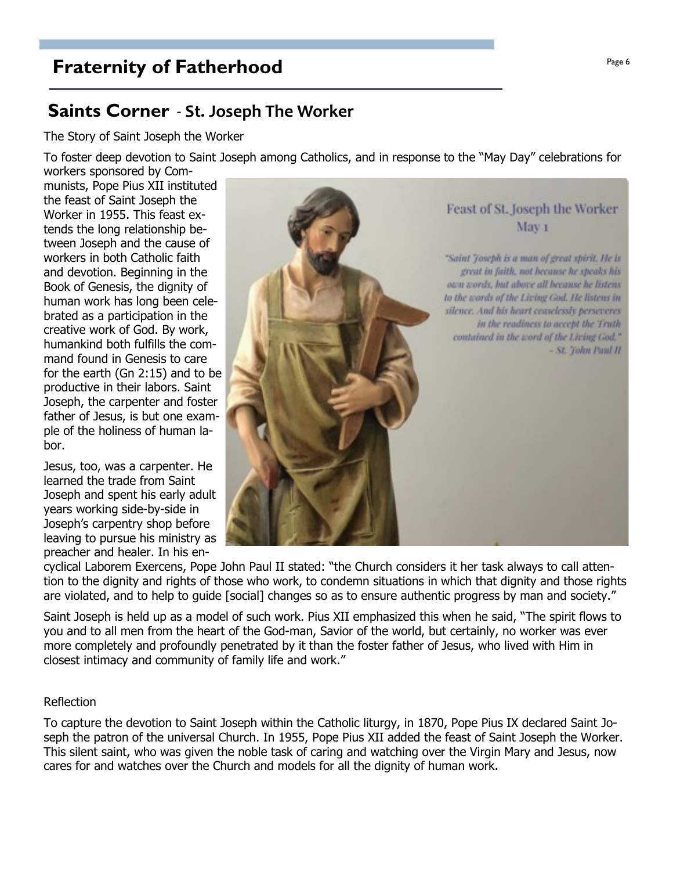### **Fraternity of Fatherhood**

### **Saints Corner** - St. Joseph The Worker

The Story of Saint Joseph the Worker

To foster deep devotion to Saint Joseph among Catholics, and in response to the "May Day" celebrations for workers sponsored by Com-

munists, Pope Pius XII instituted the feast of Saint Joseph the Worker in 1955. This feast extends the long relationship between Joseph and the cause of workers in both Catholic faith and devotion. Beginning in the Book of Genesis, the dignity of human work has long been celebrated as a participation in the creative work of God. By work, humankind both fulfills the command found in Genesis to care for the earth (Gn 2:15) and to be productive in their labors. Saint Joseph, the carpenter and foster father of Jesus, is but one example of the holiness of human labor.

Jesus, too, was a carpenter. He learned the trade from Saint Joseph and spent his early adult vears working side-by-side in Joseph's carpentry shop before leaving to pursue his ministry as preacher and healer. In his en-



cyclical Laborem Exercens, Pope John Paul II stated: "the Church considers it her task always to call attention to the dignity and rights of those who work, to condemn situations in which that dignity and those rights are violated, and to help to quide [social] changes so as to ensure authentic progress by man and society."

Saint Joseph is held up as a model of such work. Pius XII emphasized this when he said, "The spirit flows to you and to all men from the heart of the God-man, Savior of the world, but certainly, no worker was ever more completely and profoundly penetrated by it than the foster father of Jesus, who lived with Him in closest intimacy and community of family life and work."

#### Reflection

To capture the devotion to Saint Joseph within the Catholic liturgy, in 1870, Pope Pius IX declared Saint Joseph the patron of the universal Church. In 1955, Pope Pius XII added the feast of Saint Joseph the Worker. This silent saint, who was given the noble task of caring and watching over the Virgin Mary and Jesus, now cares for and watches over the Church and models for all the dignity of human work.